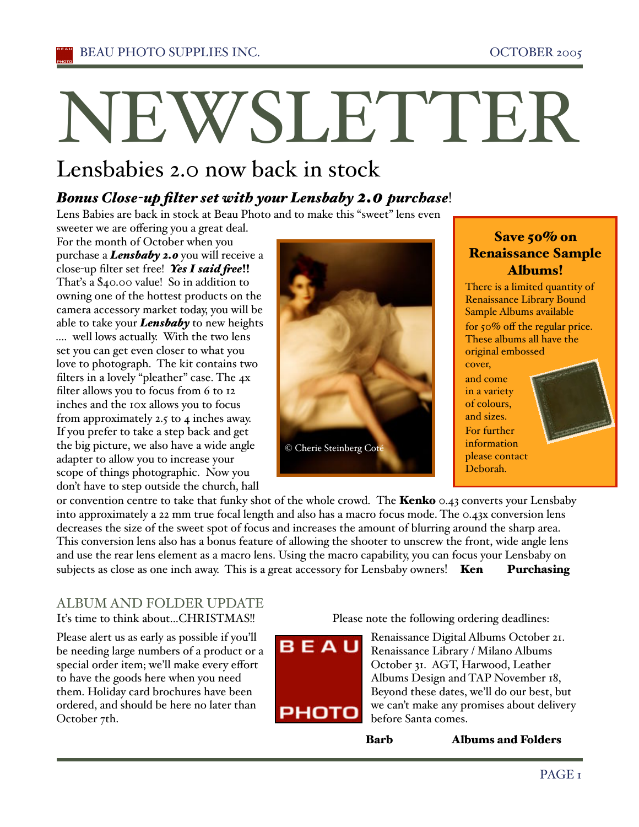# NEWSLETTER

# Lensbabies 2.0 now back in stock

# *Bonus Close-up filter set with your Lensbaby 2.0 purchase*!

Lens Babies are back in stock at Beau Photo and to make this "sweet" lens even

sweeter we are offering you a great deal. For the month of October when you purchase a *Lensbaby 2.0* you will receive a close-up filter set free! Yes I said free!! Thaťs a \$40.00 value! So in addition to owning one of the hottest products on the camera accessory market today, you will be able to take your *Lensbaby* to new heights .... well lows actually. With the two lens set you can get even closer to what you love to photograph. The kit contains two filters in a lovely "pleather" case. The 4x filter allows you to focus from 6 to 12 inches and the 10x allows you to focus from approximately 2.5 to 4 inches away. If you prefer to take a step back and get the big picture, we also have a wide angle adapter to allow you to increase your scope of things photographic. Now you don't have to step outside the church, hall



# Save 50% on Renaissance Sample Albums!

There is a limited quantity of Renaissance Library Bound Sample Albums available for  $50\%$  off the regular price. These albums all have the original embossed cover,

and come in a variety of colours, and sizes. For further information please contact Deborah.



or convention centre to take that funky shot of the whole crowd. The **Kenko**  $\circ$ .43 converts your Lensbaby into approximately a 22 mm true focal length and also has a macro focus mode. The 0.43x conversion lens decreases the size of the sweet spot of focus and increases the amount of blurring around the sharp area. This conversion lens also has a bonus feature of allowing the shooter to unscrew the front, wide angle lens and use the rear lens element as a macro lens. Using the macro capability, you can focus your Lensbaby on subjects as close as one inch away. This is a great accessory for Lensbaby owners! Ken Purchasing

#### ALBUM AND FOLDER UPDATE It's time to think about...CHRISTMAS!!

Please alert us as early as possible if you'll be needing large numbers of a product or a special order item; we'll make every effort to have the goods here when you need them. Holiday card brochures have been ordered, and should be here no later than October 7th.

Please note the following ordering deadlines:



Renaissance Digital Albums October 21. Renaissance Library / Milano Albums October 31. AGT, Harwood, Leather Albums Design and TAP November 18, Beyond these dates, we'll do our best, but we can't make any promises about delivery before Santa comes.

Barb Albums and Folders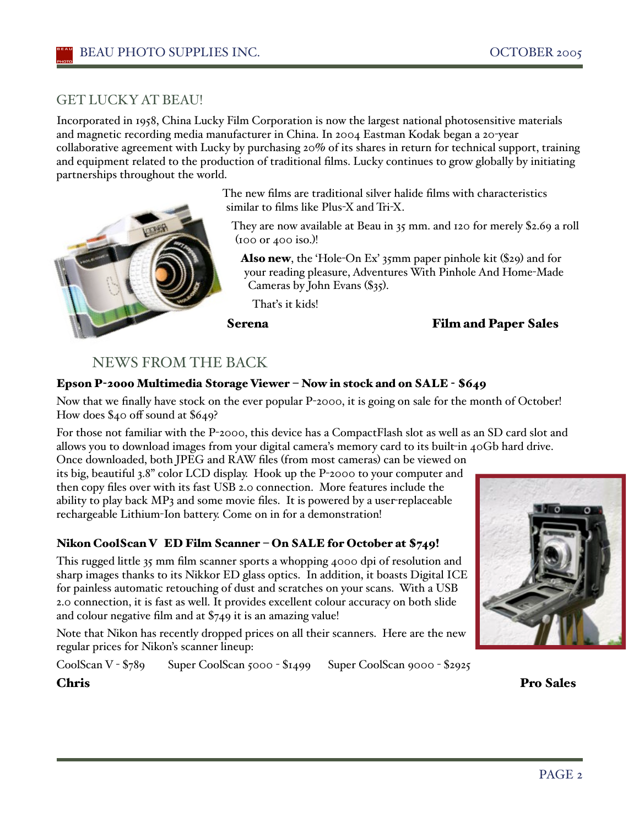## GET LUCKYAT BEAU!

Incorporated in 1958, China Lucky Film Corporation is now the largest national photosensitive materials and magnetic recording media manufacturer in China. In 2004 Eastman Kodak began a 20-year collaborative agreement with Lucky by purchasing 20% of its shares in return for technical support, training and equipment related to the production of traditional films. Lucky continues to grow globally by initiating partnerships throughout the world.



The new films are traditional silver halide films with characteristics similar to films like Plus-X and Tri-X.

They are now available at Beau in 35 mm. and 120 for merely \$2.69 a roll  $(100 \text{ or } 400 \text{ iso.})!$ 

Also new, the 'Hole-On Ex' 35mm paper pinhole kit (\$29) and for your reading pleasure, Adventures With Pinhole And Home-Made Cameras by John Evans (\$35).

Thaťs it kids!

#### Serena Film and Paper Sales

## NEWS FROM THE BACK

#### Epson P-2000 Multimedia Storage Viewer – Now in stock and on SALE - \$649

Now that we finally have stock on the ever popular P-2000, it is going on sale for the month of October! How does \$40 off sound at \$649?

For those not familiar with the P-2000, this device has a CompactFlash slot as well as an SD card slot and allows you to download images from your digital camera's memory card to its built-in 40Gb hard drive.

Once downloaded, both JPEG and RAW files (from most cameras) can be viewed on its big, beautiful 3.8" color LCD display. Hook up the P-2000 to your computer and then copy files over with its fast USB 2.0 connection. More features include the ability to play back MP3 and some movie files. It is powered by a user-replaceable rechargeable Lithium-Ion battery. Come on in for a demonstration!

#### Nikon CoolScan V ED Film Scanner – On SALE for October at \$749!

This rugged little 35 mm film scanner sports a whopping 4000 dpi of resolution and sharp images thanks to its Nikkor ED glass optics. In addition, it boasts Digital ICE for painless automatic retouching of dust and scratches on your scans. With a USB 2.0 connection, it is fast as well. It provides excellent colour accuracy on both slide and colour negative film and at \$749 it is an amazing value!

Note that Nikon has recently dropped prices on all their scanners. Here are the new regular prices for Nikon's scanner lineup:

CoolScan V - \$789 Super CoolScan 5000 - \$1499 Super CoolScan 9000 - \$2925

Chris Pro Sales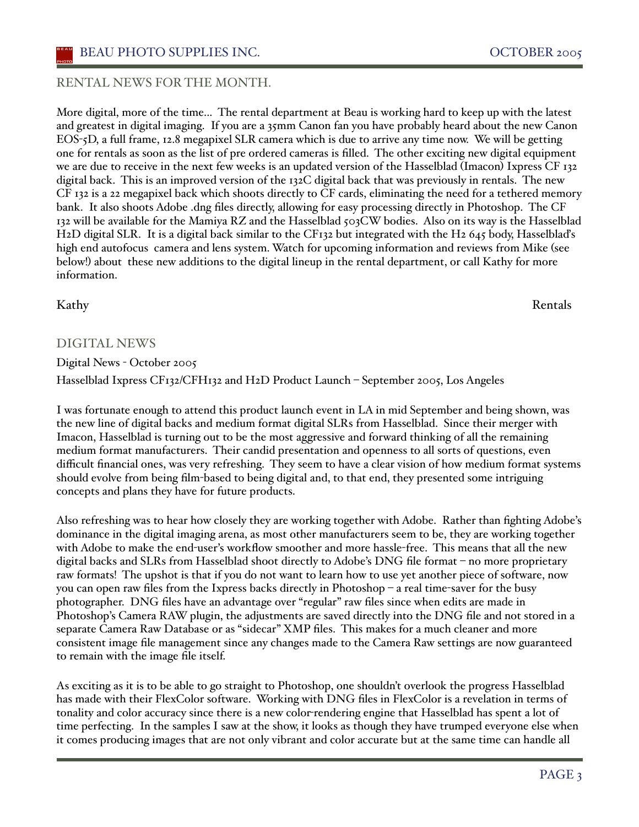#### BEAU PHOTO SUPPLIES INC. OCTOBER 2005

#### RENTAL NEWS FOR THE MONTH.

More digital, more of the time... The rental department at Beau is working hard to keep up with the latest and greatest in digital imaging. If you are a 35mm Canon fan you have probably heard about the new Canon EOS-5D, a full frame, 12.8 megapixel SLR camera which is due to arrive any time now. We will be getting one for rentals as soon as the list of pre ordered cameras is filled. The other exciting new digital equipment we are due to receive in the next few weeks is an updated version of the Hasselblad (Imacon) Ixpress CF 132 digital back. This is an improved version of the 132C digital back that was previously in rentals. The new CF 132 is a 22 megapixel back which shoots directly to CF cards, eliminating the need for a tethered memory bank. It also shoots Adobe .dng files directly, allowing for easy processing directly in Photoshop. The CF 132 will be available for the Mamiya RZ and the Hasselblad 503CW bodies. Also on its way is the Hasselblad H2D digital SLR. It is a digital back similar to the CF132 but integrated with the H2 645 body, Hasselblad's high end autofocus camera and lens system. Watch for upcoming information and reviews from Mike (see below!) about these new additions to the digital lineup in the rental department, or call Kathy for more information.

#### DIGITAL NEWS

Digital News - October 2005 Hasselblad Ixpress CF132/CFH132 and H2D Product Launch – September 2005, Los Angeles

I was fortunate enough to attend this product launch event in LA in mid September and being shown, was the new line of digital backs and medium format digital SLRs from Hasselblad. Since their merger with Imacon, Hasselblad is turning out to be the most aggressive and forward thinking of all the remaining medium format manufacturers. Their candid presentation and openness to all sorts of questions, even difficult financial ones, was very refreshing. They seem to have a clear vision of how medium format systems should evolve from being film-based to being digital and, to that end, they presented some intriguing concepts and plans they have for future products.

Also refreshing was to hear how closely they are working together with Adobe. Rather than fighting Adobe's dominance in the digital imaging arena, as most other manufacturers seem to be, they are working together with Adobe to make the end-user's workflow smoother and more hassle-free. This means that all the new digital backs and SLRs from Hasselblad shoot directly to Adobe's DNG file format – no more proprietary raw formats! The upshot is that if you do not want to learn how to use yet another piece of software, now you can open raw files from the Ixpress backs directly in Photoshop – a real time-saver for the busy photographer. DNG files have an advantage over "regular" raw files since when edits are made in Photoshop's Camera RAW plugin, the adjustments are saved directly into the DNG file and not stored in a separate Camera Raw Database or as "sidecar" XMP files. This makes for a much cleaner and more consistent image file management since any changes made to the Camera Raw settings are now guaranteed to remain with the image file itself.

As exciting as it is to be able to go straight to Photoshop, one shouldn't overlook the progress Hasselblad has made with their FlexColor software. Working with DNG files in FlexColor is a revelation in terms of tonality and color accuracy since there is a new color-rendering engine that Hasselblad has spent a lot of time perfecting. In the samples I saw at the show, it looks as though they have trumped everyone else when it comes producing images that are not only vibrant and color accurate but at the same time can handle all

Kathy Rentals